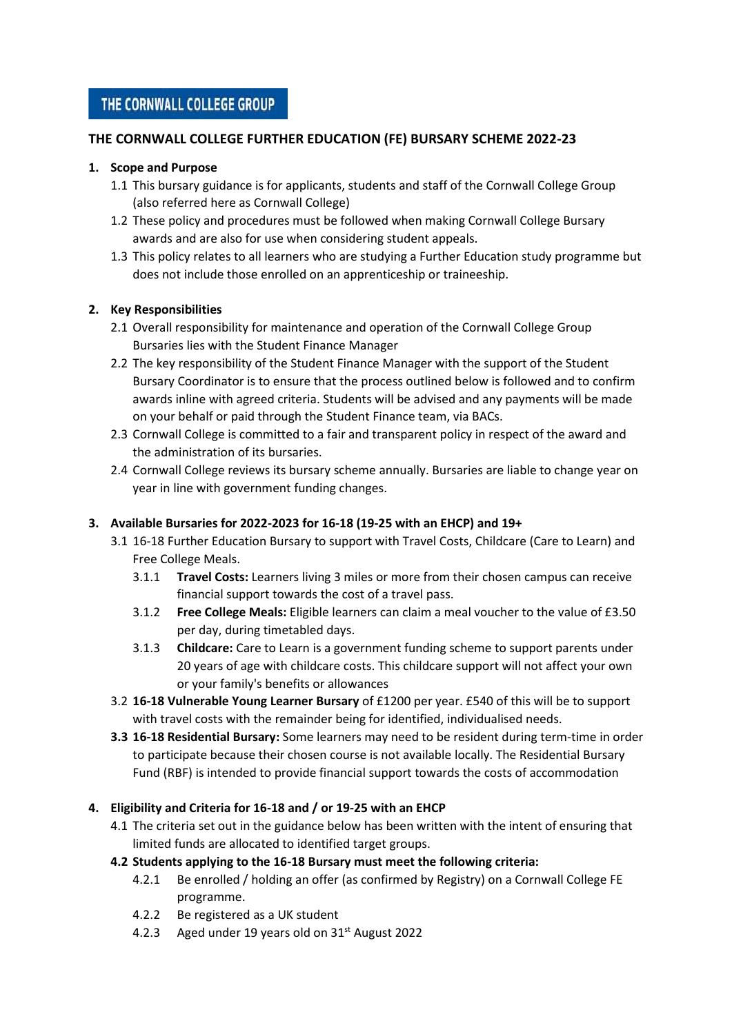# THE CORNWALL COLLEGE GROUP

# **THE CORNWALL COLLEGE FURTHER EDUCATION (FE) BURSARY SCHEME 2022-23**

### **1. Scope and Purpose**

- 1.1 This bursary guidance is for applicants, students and staff of the Cornwall College Group (also referred here as Cornwall College)
- 1.2 These policy and procedures must be followed when making Cornwall College Bursary awards and are also for use when considering student appeals.
- 1.3 This policy relates to all learners who are studying a Further Education study programme but does not include those enrolled on an apprenticeship or traineeship.

### **2. Key Responsibilities**

- 2.1 Overall responsibility for maintenance and operation of the Cornwall College Group Bursaries lies with the Student Finance Manager
- 2.2 The key responsibility of the Student Finance Manager with the support of the Student Bursary Coordinator is to ensure that the process outlined below is followed and to confirm awards inline with agreed criteria. Students will be advised and any payments will be made on your behalf or paid through the Student Finance team, via BACs.
- 2.3 Cornwall College is committed to a fair and transparent policy in respect of the award and the administration of its bursaries.
- 2.4 Cornwall College reviews its bursary scheme annually. Bursaries are liable to change year on year in line with government funding changes.

## **3. Available Bursaries for 2022-2023 for 16-18 (19-25 with an EHCP) and 19+**

- 3.1 16-18 Further Education Bursary to support with Travel Costs, Childcare (Care to Learn) and Free College Meals.
	- 3.1.1 **Travel Costs:** Learners living 3 miles or more from their chosen campus can receive financial support towards the cost of a travel pass.
	- 3.1.2 **Free College Meals:** Eligible learners can claim a meal voucher to the value of £3.50 per day, during timetabled days.
	- 3.1.3 **Childcare:** Care to Learn is a government funding scheme to support parents under 20 years of age with childcare costs. This childcare support will not affect your own or your family's benefits or allowances
- 3.2 **16-18 Vulnerable Young Learner Bursary** of £1200 per year. £540 of this will be to support with travel costs with the remainder being for identified, individualised needs.
- **3.3 16-18 Residential Bursary:** Some learners may need to be resident during term-time in order to participate because their chosen course is not available locally. The Residential Bursary Fund (RBF) is intended to provide financial support towards the costs of accommodation

## **4. Eligibility and Criteria for 16-18 and / or 19-25 with an EHCP**

4.1 The criteria set out in the guidance below has been written with the intent of ensuring that limited funds are allocated to identified target groups.

## **4.2 Students applying to the 16-18 Bursary must meet the following criteria:**

- 4.2.1 Be enrolled / holding an offer (as confirmed by Registry) on a Cornwall College FE programme.
- 4.2.2 Be registered as a UK student
- 4.2.3 Aged under 19 years old on 31<sup>st</sup> August 2022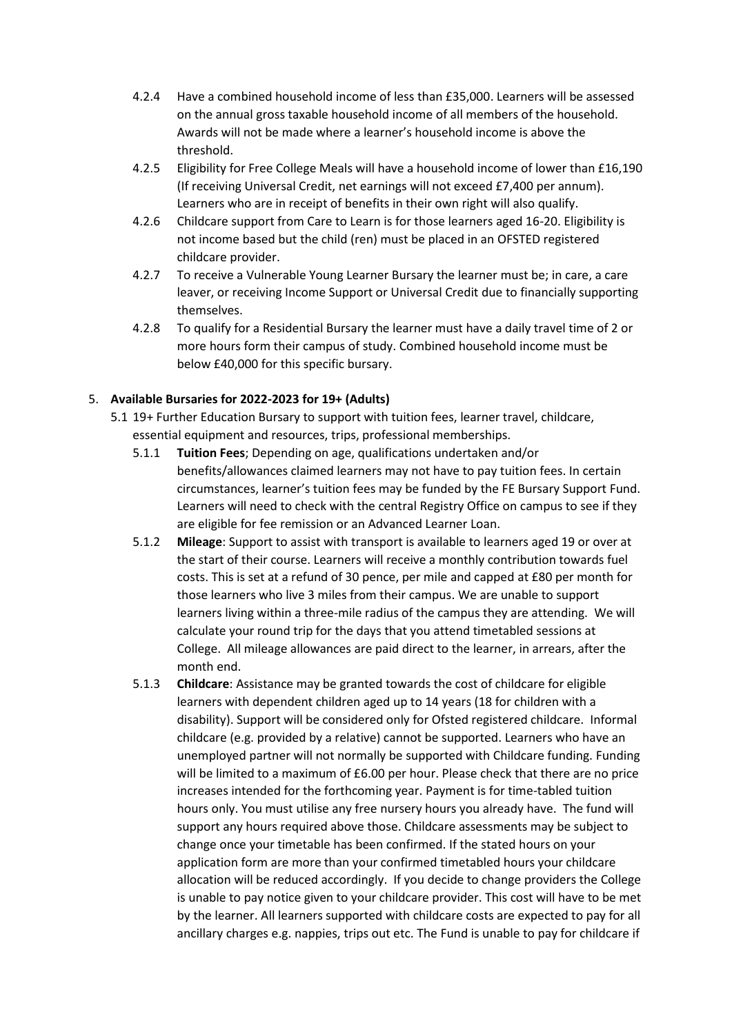- 4.2.4 Have a combined household income of less than £35,000. Learners will be assessed on the annual gross taxable household income of all members of the household. Awards will not be made where a learner's household income is above the threshold.
- 4.2.5 Eligibility for Free College Meals will have a household income of lower than £16,190 (If receiving Universal Credit, net earnings will not exceed £7,400 per annum). Learners who are in receipt of benefits in their own right will also qualify.
- 4.2.6 Childcare support from Care to Learn is for those learners aged 16-20. Eligibility is not income based but the child (ren) must be placed in an OFSTED registered childcare provider.
- 4.2.7 To receive a Vulnerable Young Learner Bursary the learner must be; in care, a care leaver, or receiving Income Support or Universal Credit due to financially supporting themselves.
- 4.2.8 To qualify for a Residential Bursary the learner must have a daily travel time of 2 or more hours form their campus of study. Combined household income must be below £40,000 for this specific bursary.

# 5. **Available Bursaries for 2022-2023 for 19+ (Adults)**

- 5.1 19+ Further Education Bursary to support with tuition fees, learner travel, childcare, essential equipment and resources, trips, professional memberships.
	- 5.1.1 **Tuition Fees**; Depending on age, qualifications undertaken and/or benefits/allowances claimed learners may not have to pay tuition fees. In certain circumstances, learner's tuition fees may be funded by the FE Bursary Support Fund. Learners will need to check with the central Registry Office on campus to see if they are eligible for fee remission or an Advanced Learner Loan.
	- 5.1.2 **Mileage**: Support to assist with transport is available to learners aged 19 or over at the start of their course. Learners will receive a monthly contribution towards fuel costs. This is set at a refund of 30 pence, per mile and capped at £80 per month for those learners who live 3 miles from their campus. We are unable to support learners living within a three-mile radius of the campus they are attending. We will calculate your round trip for the days that you attend timetabled sessions at College. All mileage allowances are paid direct to the learner, in arrears, after the month end.
	- 5.1.3 **Childcare**: Assistance may be granted towards the cost of childcare for eligible learners with dependent children aged up to 14 years (18 for children with a disability). Support will be considered only for Ofsted registered childcare. Informal childcare (e.g. provided by a relative) cannot be supported. Learners who have an unemployed partner will not normally be supported with Childcare funding. Funding will be limited to a maximum of £6.00 per hour. Please check that there are no price increases intended for the forthcoming year. Payment is for time-tabled tuition hours only. You must utilise any free nursery hours you already have. The fund will support any hours required above those. Childcare assessments may be subject to change once your timetable has been confirmed. If the stated hours on your application form are more than your confirmed timetabled hours your childcare allocation will be reduced accordingly. If you decide to change providers the College is unable to pay notice given to your childcare provider. This cost will have to be met by the learner. All learners supported with childcare costs are expected to pay for all ancillary charges e.g. nappies, trips out etc. The Fund is unable to pay for childcare if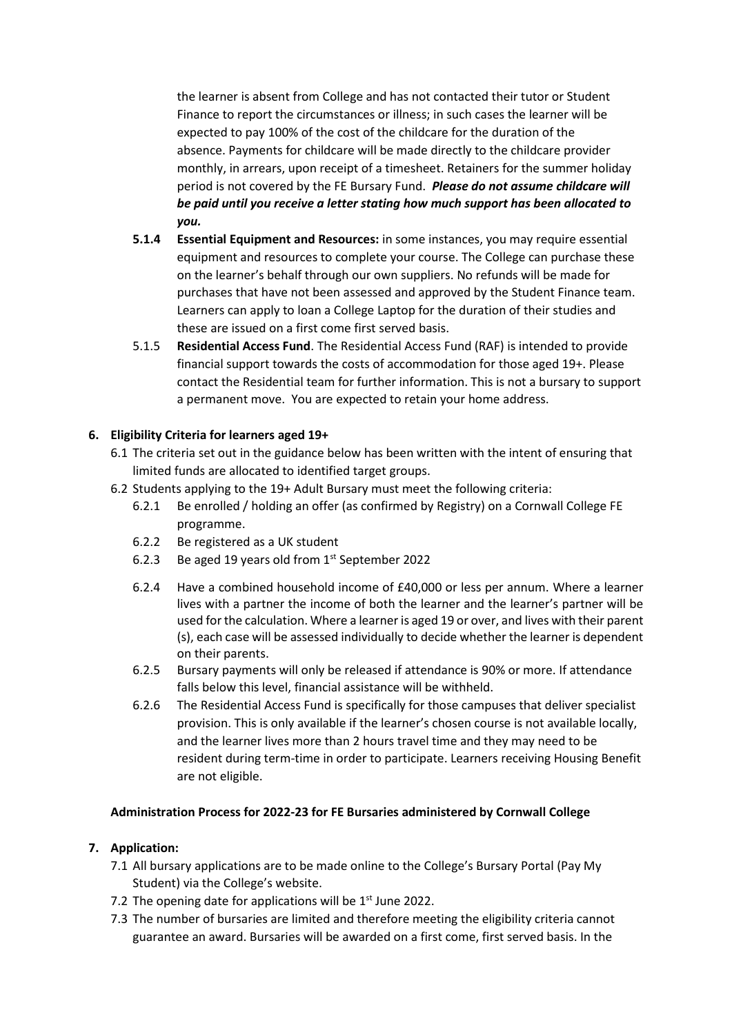the learner is absent from College and has not contacted their tutor or Student Finance to report the circumstances or illness; in such cases the learner will be expected to pay 100% of the cost of the childcare for the duration of the absence. Payments for childcare will be made directly to the childcare provider monthly, in arrears, upon receipt of a timesheet. Retainers for the summer holiday period is not covered by the FE Bursary Fund. *Please do not assume childcare will be paid until you receive a letter stating how much support has been allocated to you.*

- **5.1.4 Essential Equipment and Resources:** in some instances, you may require essential equipment and resources to complete your course. The College can purchase these on the learner's behalf through our own suppliers. No refunds will be made for purchases that have not been assessed and approved by the Student Finance team. Learners can apply to loan a College Laptop for the duration of their studies and these are issued on a first come first served basis.
- 5.1.5 **Residential Access Fund**. The Residential Access Fund (RAF) is intended to provide financial support towards the costs of accommodation for those aged 19+. Please contact the Residential team for further information. This is not a bursary to support a permanent move. You are expected to retain your home address.

## **6. Eligibility Criteria for learners aged 19+**

- 6.1 The criteria set out in the guidance below has been written with the intent of ensuring that limited funds are allocated to identified target groups.
- 6.2 Students applying to the 19+ Adult Bursary must meet the following criteria:
	- 6.2.1 Be enrolled / holding an offer (as confirmed by Registry) on a Cornwall College FE programme.
	- 6.2.2 Be registered as a UK student
	- 6.2.3 Be aged 19 years old from 1<sup>st</sup> September 2022
	- 6.2.4 Have a combined household income of £40,000 or less per annum. Where a learner lives with a partner the income of both the learner and the learner's partner will be used for the calculation. Where a learner is aged 19 or over, and lives with their parent (s), each case will be assessed individually to decide whether the learner is dependent on their parents.
	- 6.2.5 Bursary payments will only be released if attendance is 90% or more. If attendance falls below this level, financial assistance will be withheld.
	- 6.2.6 The Residential Access Fund is specifically for those campuses that deliver specialist provision. This is only available if the learner's chosen course is not available locally, and the learner lives more than 2 hours travel time and they may need to be resident during term-time in order to participate. Learners receiving Housing Benefit are not eligible.

#### **Administration Process for 2022-23 for FE Bursaries administered by Cornwall College**

#### **7. Application:**

- 7.1 All bursary applications are to be made online to the College's Bursary Portal (Pay My Student) via the College's website.
- 7.2 The opening date for applications will be  $1<sup>st</sup>$  June 2022.
- 7.3 The number of bursaries are limited and therefore meeting the eligibility criteria cannot guarantee an award. Bursaries will be awarded on a first come, first served basis. In the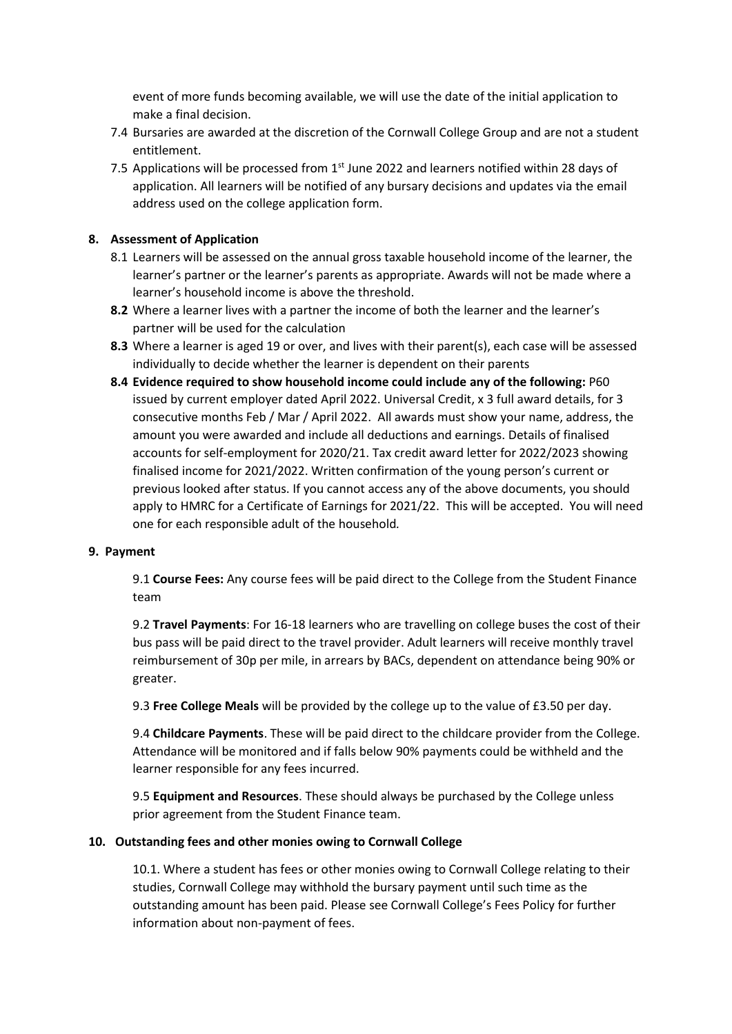event of more funds becoming available, we will use the date of the initial application to make a final decision.

- 7.4 Bursaries are awarded at the discretion of the Cornwall College Group and are not a student entitlement.
- 7.5 Applications will be processed from 1<sup>st</sup> June 2022 and learners notified within 28 days of application. All learners will be notified of any bursary decisions and updates via the email address used on the college application form.

#### **8. Assessment of Application**

- 8.1 Learners will be assessed on the annual gross taxable household income of the learner, the learner's partner or the learner's parents as appropriate. Awards will not be made where a learner's household income is above the threshold.
- **8.2** Where a learner lives with a partner the income of both the learner and the learner's partner will be used for the calculation
- **8.3** Where a learner is aged 19 or over, and lives with their parent(s), each case will be assessed individually to decide whether the learner is dependent on their parents
- **8.4 Evidence required to show household income could include any of the following:** P60 issued by current employer dated April 2022. Universal Credit, x 3 full award details, for 3 consecutive months Feb / Mar / April 2022. All awards must show your name, address, the amount you were awarded and include all deductions and earnings. Details of finalised accounts for self-employment for 2020/21. Tax credit award letter for 2022/2023 showing finalised income for 2021/2022. Written confirmation of the young person's current or previous looked after status. If you cannot access any of the above documents, you should apply to HMRC for a Certificate of Earnings for 2021/22. This will be accepted. You will need one for each responsible adult of the household*.*

#### **9. Payment**

9.1 **Course Fees:** Any course fees will be paid direct to the College from the Student Finance team

9.2 **Travel Payments**: For 16-18 learners who are travelling on college buses the cost of their bus pass will be paid direct to the travel provider. Adult learners will receive monthly travel reimbursement of 30p per mile, in arrears by BACs, dependent on attendance being 90% or greater.

9.3 **Free College Meals** will be provided by the college up to the value of £3.50 per day.

9.4 **Childcare Payments**. These will be paid direct to the childcare provider from the College. Attendance will be monitored and if falls below 90% payments could be withheld and the learner responsible for any fees incurred.

9.5 **Equipment and Resources**. These should always be purchased by the College unless prior agreement from the Student Finance team.

#### **10. Outstanding fees and other monies owing to Cornwall College**

10.1. Where a student has fees or other monies owing to Cornwall College relating to their studies, Cornwall College may withhold the bursary payment until such time as the outstanding amount has been paid. Please see Cornwall College's Fees Policy for further information about non-payment of fees.